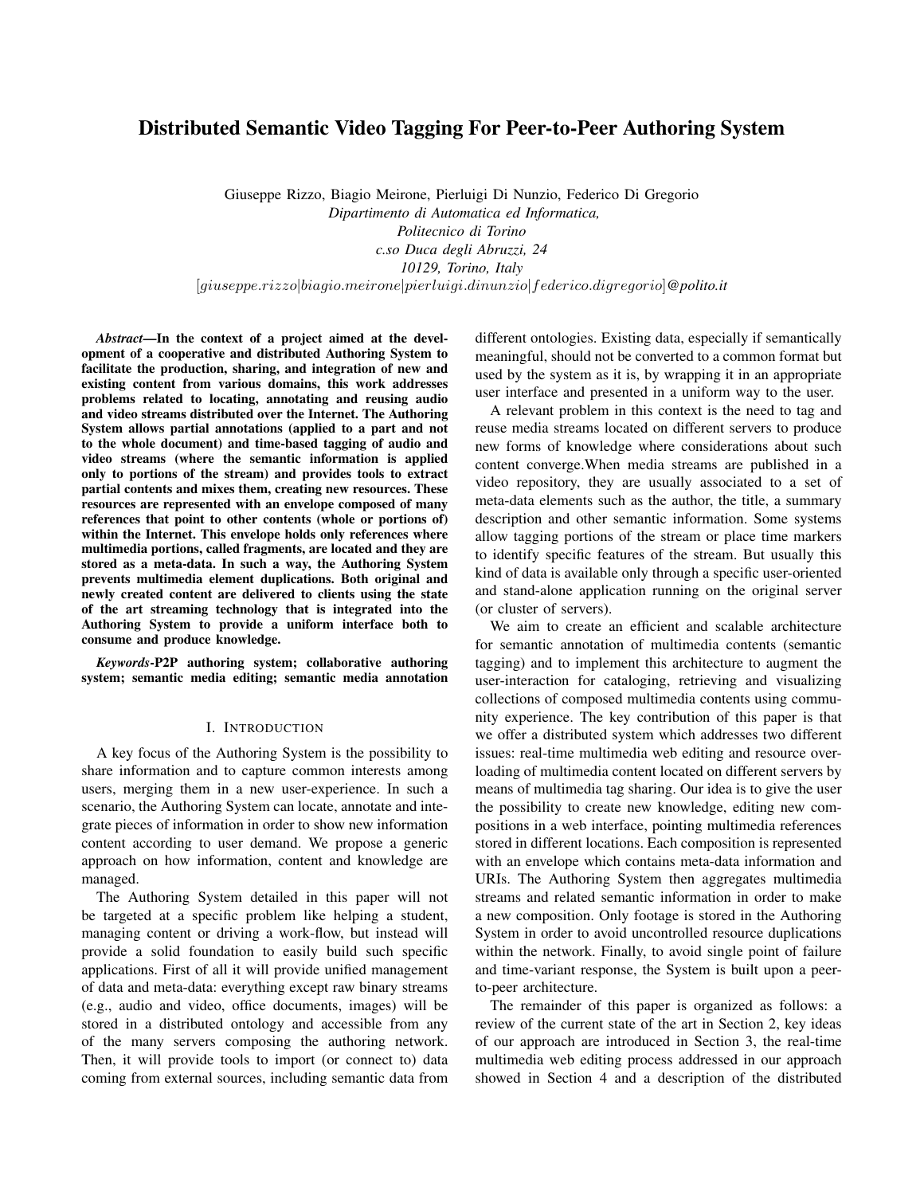# Distributed Semantic Video Tagging For Peer-to-Peer Authoring System

Giuseppe Rizzo, Biagio Meirone, Pierluigi Di Nunzio, Federico Di Gregorio *Dipartimento di Automatica ed Informatica, Politecnico di Torino c.so Duca degli Abruzzi, 24 10129, Torino, Italy* [*giuseppe.rizzo|biagio.meirone|pierluigi.dinunzio|federico.digregorio*]*@polito.it*

*Abstract*—In the context of a project aimed at the development of a cooperative and distributed Authoring System to facilitate the production, sharing, and integration of new and existing content from various domains, this work addresses problems related to locating, annotating and reusing audio and video streams distributed over the Internet. The Authoring System allows partial annotations (applied to a part and not to the whole document) and time-based tagging of audio and video streams (where the semantic information is applied only to portions of the stream) and provides tools to extract partial contents and mixes them, creating new resources. These resources are represented with an envelope composed of many references that point to other contents (whole or portions of) within the Internet. This envelope holds only references where multimedia portions, called fragments, are located and they are stored as a meta-data. In such a way, the Authoring System prevents multimedia element duplications. Both original and newly created content are delivered to clients using the state of the art streaming technology that is integrated into the Authoring System to provide a uniform interface both to consume and produce knowledge.

*Keywords*-P2P authoring system; collaborative authoring system; semantic media editing; semantic media annotation

### I. INTRODUCTION

A key focus of the Authoring System is the possibility to share information and to capture common interests among users, merging them in a new user-experience. In such a scenario, the Authoring System can locate, annotate and integrate pieces of information in order to show new information content according to user demand. We propose a generic approach on how information, content and knowledge are managed.

The Authoring System detailed in this paper will not be targeted at a specific problem like helping a student, managing content or driving a work-flow, but instead will provide a solid foundation to easily build such specific applications. First of all it will provide unified management of data and meta-data: everything except raw binary streams (e.g., audio and video, office documents, images) will be stored in a distributed ontology and accessible from any of the many servers composing the authoring network. Then, it will provide tools to import (or connect to) data coming from external sources, including semantic data from different ontologies. Existing data, especially if semantically meaningful, should not be converted to a common format but used by the system as it is, by wrapping it in an appropriate user interface and presented in a uniform way to the user.

A relevant problem in this context is the need to tag and reuse media streams located on different servers to produce new forms of knowledge where considerations about such content converge.When media streams are published in a video repository, they are usually associated to a set of meta-data elements such as the author, the title, a summary description and other semantic information. Some systems allow tagging portions of the stream or place time markers to identify specific features of the stream. But usually this kind of data is available only through a specific user-oriented and stand-alone application running on the original server (or cluster of servers).

We aim to create an efficient and scalable architecture for semantic annotation of multimedia contents (semantic tagging) and to implement this architecture to augment the user-interaction for cataloging, retrieving and visualizing collections of composed multimedia contents using community experience. The key contribution of this paper is that we offer a distributed system which addresses two different issues: real-time multimedia web editing and resource overloading of multimedia content located on different servers by means of multimedia tag sharing. Our idea is to give the user the possibility to create new knowledge, editing new compositions in a web interface, pointing multimedia references stored in different locations. Each composition is represented with an envelope which contains meta-data information and URIs. The Authoring System then aggregates multimedia streams and related semantic information in order to make a new composition. Only footage is stored in the Authoring System in order to avoid uncontrolled resource duplications within the network. Finally, to avoid single point of failure and time-variant response, the System is built upon a peerto-peer architecture.

The remainder of this paper is organized as follows: a review of the current state of the art in Section 2, key ideas of our approach are introduced in Section 3, the real-time multimedia web editing process addressed in our approach showed in Section 4 and a description of the distributed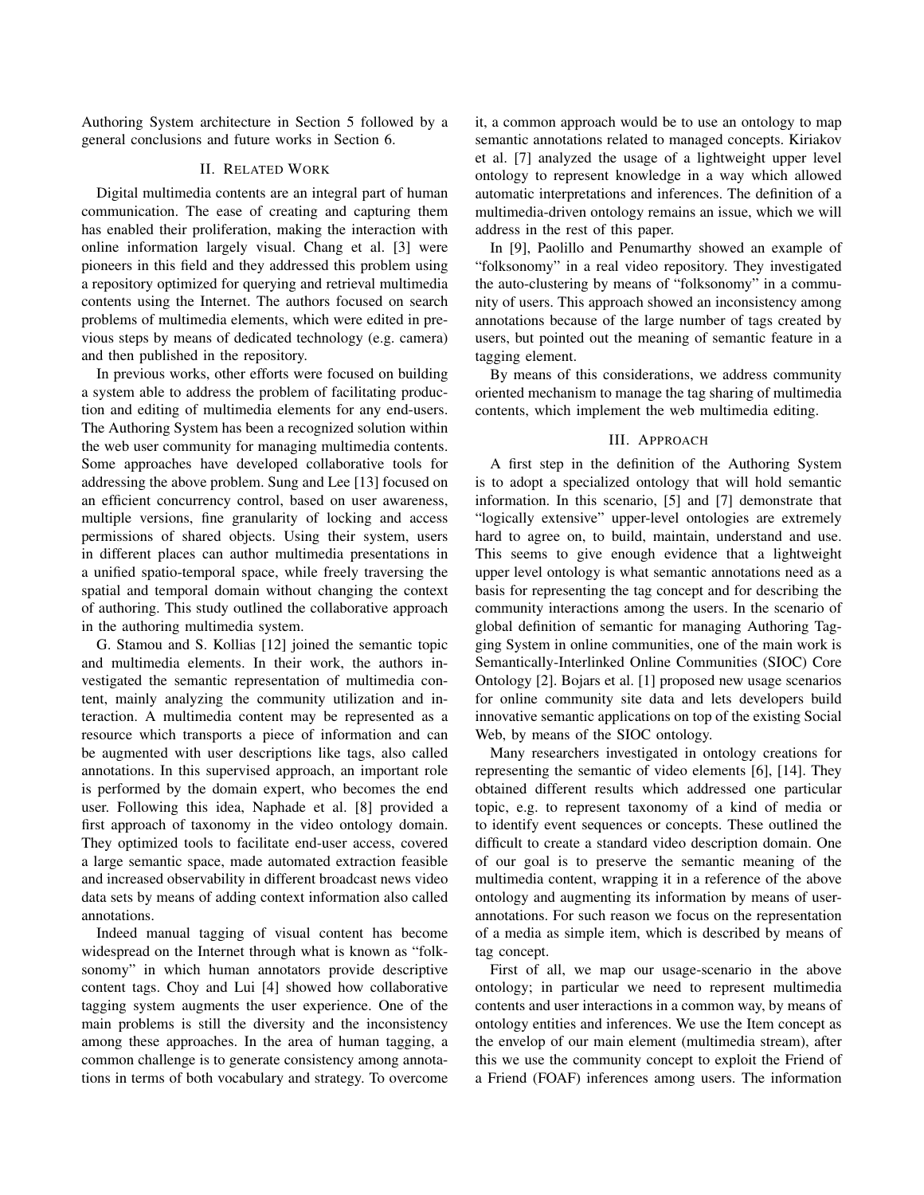Authoring System architecture in Section 5 followed by a general conclusions and future works in Section 6.

### II. RELATED WORK

Digital multimedia contents are an integral part of human communication. The ease of creating and capturing them has enabled their proliferation, making the interaction with online information largely visual. Chang et al. [3] were pioneers in this field and they addressed this problem using a repository optimized for querying and retrieval multimedia contents using the Internet. The authors focused on search problems of multimedia elements, which were edited in previous steps by means of dedicated technology (e.g. camera) and then published in the repository.

In previous works, other efforts were focused on building a system able to address the problem of facilitating production and editing of multimedia elements for any end-users. The Authoring System has been a recognized solution within the web user community for managing multimedia contents. Some approaches have developed collaborative tools for addressing the above problem. Sung and Lee [13] focused on an efficient concurrency control, based on user awareness, multiple versions, fine granularity of locking and access permissions of shared objects. Using their system, users in different places can author multimedia presentations in a unified spatio-temporal space, while freely traversing the spatial and temporal domain without changing the context of authoring. This study outlined the collaborative approach in the authoring multimedia system.

G. Stamou and S. Kollias [12] joined the semantic topic and multimedia elements. In their work, the authors investigated the semantic representation of multimedia content, mainly analyzing the community utilization and interaction. A multimedia content may be represented as a resource which transports a piece of information and can be augmented with user descriptions like tags, also called annotations. In this supervised approach, an important role is performed by the domain expert, who becomes the end user. Following this idea, Naphade et al. [8] provided a first approach of taxonomy in the video ontology domain. They optimized tools to facilitate end-user access, covered a large semantic space, made automated extraction feasible and increased observability in different broadcast news video data sets by means of adding context information also called annotations.

Indeed manual tagging of visual content has become widespread on the Internet through what is known as "folksonomy" in which human annotators provide descriptive content tags. Choy and Lui [4] showed how collaborative tagging system augments the user experience. One of the main problems is still the diversity and the inconsistency among these approaches. In the area of human tagging, a common challenge is to generate consistency among annotations in terms of both vocabulary and strategy. To overcome it, a common approach would be to use an ontology to map semantic annotations related to managed concepts. Kiriakov et al. [7] analyzed the usage of a lightweight upper level ontology to represent knowledge in a way which allowed automatic interpretations and inferences. The definition of a multimedia-driven ontology remains an issue, which we will address in the rest of this paper.

In [9], Paolillo and Penumarthy showed an example of "folksonomy" in a real video repository. They investigated the auto-clustering by means of "folksonomy" in a community of users. This approach showed an inconsistency among annotations because of the large number of tags created by users, but pointed out the meaning of semantic feature in a tagging element.

By means of this considerations, we address community oriented mechanism to manage the tag sharing of multimedia contents, which implement the web multimedia editing.

### III. APPROACH

A first step in the definition of the Authoring System is to adopt a specialized ontology that will hold semantic information. In this scenario, [5] and [7] demonstrate that "logically extensive" upper-level ontologies are extremely hard to agree on, to build, maintain, understand and use. This seems to give enough evidence that a lightweight upper level ontology is what semantic annotations need as a basis for representing the tag concept and for describing the community interactions among the users. In the scenario of global definition of semantic for managing Authoring Tagging System in online communities, one of the main work is Semantically-Interlinked Online Communities (SIOC) Core Ontology [2]. Bojars et al. [1] proposed new usage scenarios for online community site data and lets developers build innovative semantic applications on top of the existing Social Web, by means of the SIOC ontology.

Many researchers investigated in ontology creations for representing the semantic of video elements [6], [14]. They obtained different results which addressed one particular topic, e.g. to represent taxonomy of a kind of media or to identify event sequences or concepts. These outlined the difficult to create a standard video description domain. One of our goal is to preserve the semantic meaning of the multimedia content, wrapping it in a reference of the above ontology and augmenting its information by means of userannotations. For such reason we focus on the representation of a media as simple item, which is described by means of tag concept.

First of all, we map our usage-scenario in the above ontology; in particular we need to represent multimedia contents and user interactions in a common way, by means of ontology entities and inferences. We use the Item concept as the envelop of our main element (multimedia stream), after this we use the community concept to exploit the Friend of a Friend (FOAF) inferences among users. The information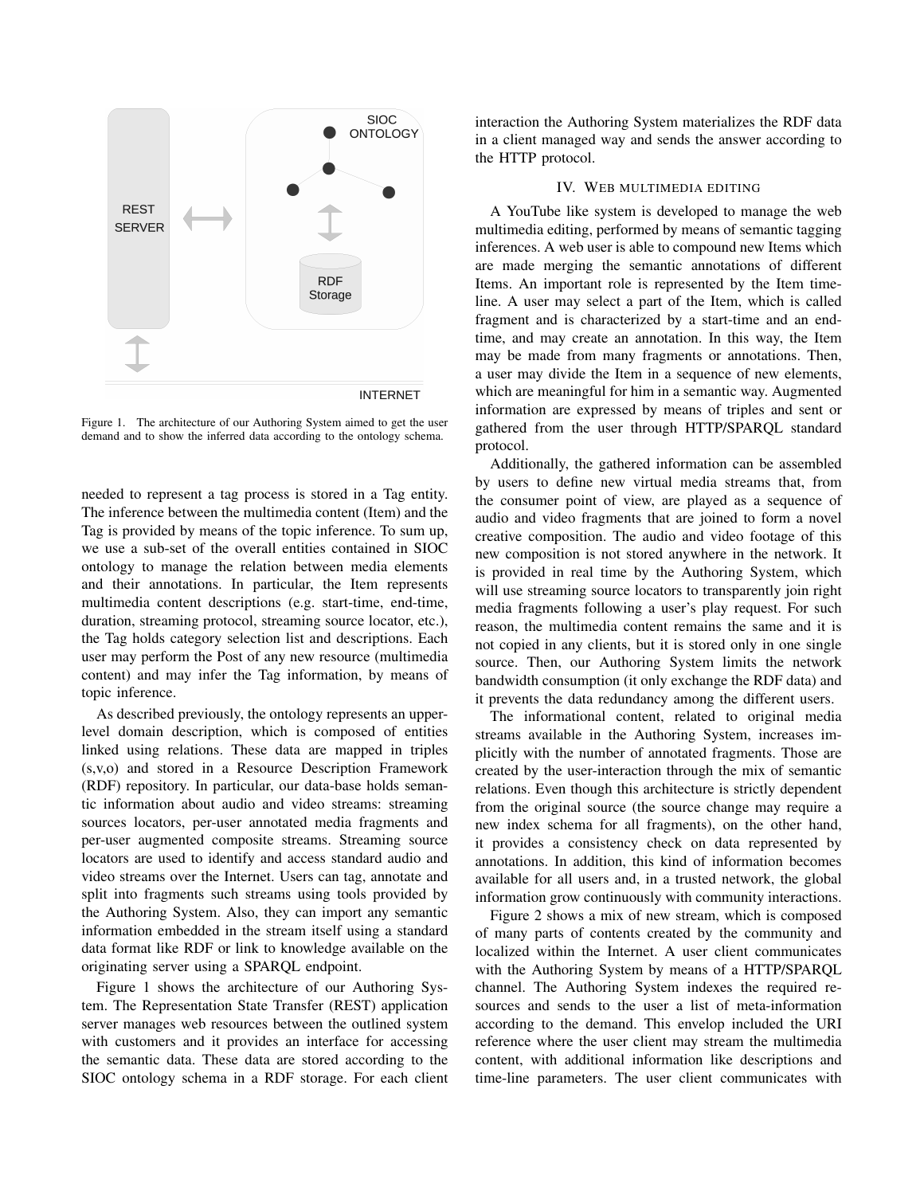

Figure 1. The architecture of our Authoring System aimed to get the user demand and to show the inferred data according to the ontology schema.

needed to represent a tag process is stored in a Tag entity. The inference between the multimedia content (Item) and the Tag is provided by means of the topic inference. To sum up, we use a sub-set of the overall entities contained in SIOC ontology to manage the relation between media elements and their annotations. In particular, the Item represents multimedia content descriptions (e.g. start-time, end-time, duration, streaming protocol, streaming source locator, etc.), the Tag holds category selection list and descriptions. Each user may perform the Post of any new resource (multimedia content) and may infer the Tag information, by means of topic inference.

As described previously, the ontology represents an upperlevel domain description, which is composed of entities linked using relations. These data are mapped in triples (s,v,o) and stored in a Resource Description Framework (RDF) repository. In particular, our data-base holds semantic information about audio and video streams: streaming sources locators, per-user annotated media fragments and per-user augmented composite streams. Streaming source locators are used to identify and access standard audio and video streams over the Internet. Users can tag, annotate and split into fragments such streams using tools provided by the Authoring System. Also, they can import any semantic information embedded in the stream itself using a standard data format like RDF or link to knowledge available on the originating server using a SPARQL endpoint.

Figure 1 shows the architecture of our Authoring System. The Representation State Transfer (REST) application server manages web resources between the outlined system with customers and it provides an interface for accessing the semantic data. These data are stored according to the SIOC ontology schema in a RDF storage. For each client interaction the Authoring System materializes the RDF data in a client managed way and sends the answer according to the HTTP protocol.

## IV. WEB MULTIMEDIA EDITING

A YouTube like system is developed to manage the web multimedia editing, performed by means of semantic tagging inferences. A web user is able to compound new Items which are made merging the semantic annotations of different Items. An important role is represented by the Item timeline. A user may select a part of the Item, which is called fragment and is characterized by a start-time and an endtime, and may create an annotation. In this way, the Item may be made from many fragments or annotations. Then, a user may divide the Item in a sequence of new elements, which are meaningful for him in a semantic way. Augmented information are expressed by means of triples and sent or gathered from the user through HTTP/SPARQL standard protocol.

Additionally, the gathered information can be assembled by users to define new virtual media streams that, from the consumer point of view, are played as a sequence of audio and video fragments that are joined to form a novel creative composition. The audio and video footage of this new composition is not stored anywhere in the network. It is provided in real time by the Authoring System, which will use streaming source locators to transparently join right media fragments following a user's play request. For such reason, the multimedia content remains the same and it is not copied in any clients, but it is stored only in one single source. Then, our Authoring System limits the network bandwidth consumption (it only exchange the RDF data) and it prevents the data redundancy among the different users.

The informational content, related to original media streams available in the Authoring System, increases implicitly with the number of annotated fragments. Those are created by the user-interaction through the mix of semantic relations. Even though this architecture is strictly dependent from the original source (the source change may require a new index schema for all fragments), on the other hand, it provides a consistency check on data represented by annotations. In addition, this kind of information becomes available for all users and, in a trusted network, the global information grow continuously with community interactions.

Figure 2 shows a mix of new stream, which is composed of many parts of contents created by the community and localized within the Internet. A user client communicates with the Authoring System by means of a HTTP/SPARQL channel. The Authoring System indexes the required resources and sends to the user a list of meta-information according to the demand. This envelop included the URI reference where the user client may stream the multimedia content, with additional information like descriptions and time-line parameters. The user client communicates with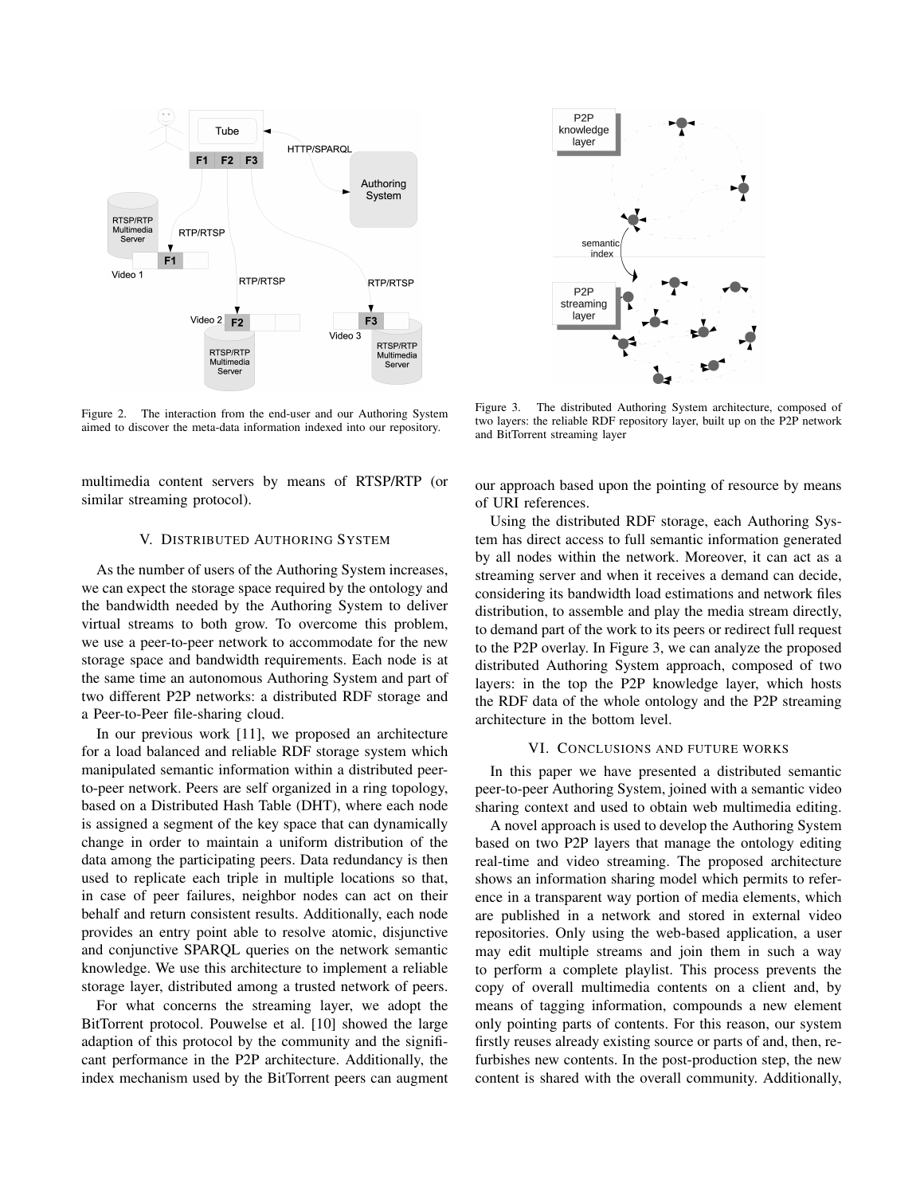

Figure 2. The interaction from the end-user and our Authoring System aimed to discover the meta-data information indexed into our repository.

multimedia content servers by means of RTSP/RTP (or similar streaming protocol).

### V. DISTRIBUTED AUTHORING SYSTEM

As the number of users of the Authoring System increases, we can expect the storage space required by the ontology and the bandwidth needed by the Authoring System to deliver virtual streams to both grow. To overcome this problem, we use a peer-to-peer network to accommodate for the new storage space and bandwidth requirements. Each node is at the same time an autonomous Authoring System and part of two different P2P networks: a distributed RDF storage and a Peer-to-Peer file-sharing cloud.

In our previous work [11], we proposed an architecture for a load balanced and reliable RDF storage system which manipulated semantic information within a distributed peerto-peer network. Peers are self organized in a ring topology, based on a Distributed Hash Table (DHT), where each node is assigned a segment of the key space that can dynamically change in order to maintain a uniform distribution of the data among the participating peers. Data redundancy is then used to replicate each triple in multiple locations so that, in case of peer failures, neighbor nodes can act on their behalf and return consistent results. Additionally, each node provides an entry point able to resolve atomic, disjunctive and conjunctive SPARQL queries on the network semantic knowledge. We use this architecture to implement a reliable storage layer, distributed among a trusted network of peers.

For what concerns the streaming layer, we adopt the BitTorrent protocol. Pouwelse et al. [10] showed the large adaption of this protocol by the community and the significant performance in the P2P architecture. Additionally, the index mechanism used by the BitTorrent peers can augment



Figure 3. The distributed Authoring System architecture, composed of two layers: the reliable RDF repository layer, built up on the P2P network and BitTorrent streaming layer

our approach based upon the pointing of resource by means of URI references.

Using the distributed RDF storage, each Authoring System has direct access to full semantic information generated by all nodes within the network. Moreover, it can act as a streaming server and when it receives a demand can decide, considering its bandwidth load estimations and network files distribution, to assemble and play the media stream directly, to demand part of the work to its peers or redirect full request to the P2P overlay. In Figure 3, we can analyze the proposed distributed Authoring System approach, composed of two layers: in the top the P2P knowledge layer, which hosts the RDF data of the whole ontology and the P2P streaming architecture in the bottom level.

### VI. CONCLUSIONS AND FUTURE WORKS

In this paper we have presented a distributed semantic peer-to-peer Authoring System, joined with a semantic video sharing context and used to obtain web multimedia editing.

A novel approach is used to develop the Authoring System based on two P2P layers that manage the ontology editing real-time and video streaming. The proposed architecture shows an information sharing model which permits to reference in a transparent way portion of media elements, which are published in a network and stored in external video repositories. Only using the web-based application, a user may edit multiple streams and join them in such a way to perform a complete playlist. This process prevents the copy of overall multimedia contents on a client and, by means of tagging information, compounds a new element only pointing parts of contents. For this reason, our system firstly reuses already existing source or parts of and, then, refurbishes new contents. In the post-production step, the new content is shared with the overall community. Additionally,